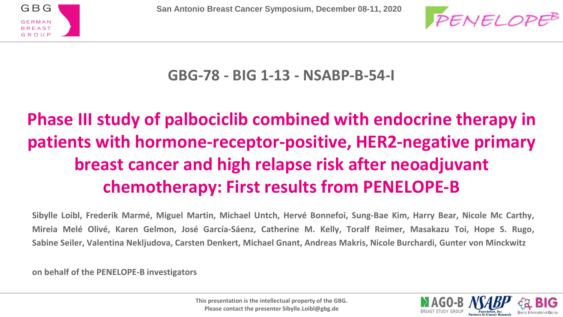



**GBG-78 - BIG 1-13 - NSABP-B-54-I**

### **Phase III study of palbociclib combined with endocrine therapy in patients with hormone-receptor-positive, HER2-negative primary breast cancer and high relapse risk after neoadjuvant chemotherapy: First results from PENELOPE-B**

Sibylle Loibl, Frederik Marmé, Miguel Martin, Michael Untch, Hervé Bonnefoi, Sung-Bae Kim, Harry Bear, Nicole Mc Carthy, Mireia Melé Olivé, Karen Gelmon, José García-Sáenz, Catherine M. Kelly, Toralf Reimer, Masakazu Toi, Hope S. Rugo, Sabine Seiler, Valentina Nekljudova, Carsten Denkert, Michael Gnant, Andreas Makris, Nicole Burchardi, Gunter von Minckwitz

**on behalf of the PENELOPE-B investigators**

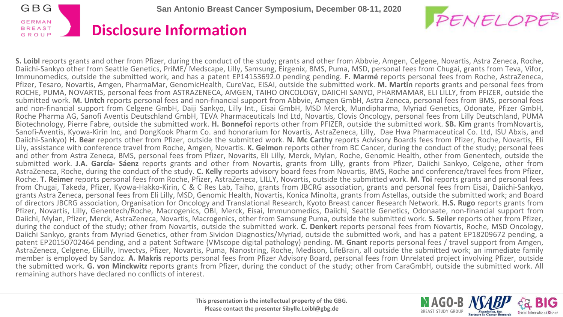



**S. Loibl** reports grants and other from Pfizer, during the conduct of the study; grants and other from Abbvie, Amgen, Celgene, Novartis, Astra Zeneca, Roche, Daiichi-Sankyo other from Seattle Genetics, PriME/ Medscape, Lilly, Samsung, Eirgenix, BMS, Puma, MSD, personal fees from Chugai, grants from Teva, Vifor, Immunomedics, outside the submitted work, and has a patent EP14153692.0 pending pending. **F. Marmé** reports personal fees from Roche, AstraZeneca, Pfizer, Tesaro, Novartis, Amgen, PharmaMar, GenomicHealth, CureVac, EISAI, outside the submitted work. **M. Martin** reports grants and personal fees from ROCHE, PUMA, NOVARTIS, personal fees from ASTRAZENECA, AMGEN, TAIHO ONCOLOGY, DAIICHI SANYO, PHARMAMAR, ELI LILLY, from PFIZER, outside the submitted work. **M. Untch** reports personal fees and non-financial support from Abbvie, Amgen GmbH, Astra Zeneca, personal fees from BMS, personal fees and non-financial support from Celgene GmbH, Daiji Sankyo, Lilly Int., Eisai GmbH, MSD Merck, Mundipharma, Myriad Genetics, Odonate, Pfizer GmbH, Roche Pharma AG, Sanofi Aventis Deutschland GmbH, TEVA Pharmaceuticals Ind Ltd, Novartis, Clovis Oncology, personal fees from Lilly Deutschland, PUMA Biotechnology, Pierre Fabre, outside the submitted work. **H. Bonnefoi** reports other from PFIZER, outside the submitted work. **SB. Kim** grants fromNovartis, Sanofi-Aventis, Kyowa-Kirin Inc, and DongKook Pharm Co. and honorarium for Novartis, AstraZeneca, Lilly, Dae Hwa Pharmaceutical Co. Ltd, ISU Abxis, and Daiichi-Sankyo) **H. Bear** reports other from Pfizer, outside the submitted work. **N. Mc Carthy** reports Advisory Boards fees from Pfizer, Roche, Novartis, Eli Lily, assistance with conference travel from Roche, Amgen, Novartis. **K. Gelmon** reports other from BC Cancer, during the conduct of the study; personal fees and other from Astra Zeneca, BMS, personal fees from Pfizer, Novarits, Eli Lilly, Merck, Mylan, Roche, Genomic Health, other from Genentech, outside the submitted work. **J.A. García- Sáenz** reports grants and other from Novartis, grants from Lilly, grants from Pfizer, Daiichi Sankyo, Celgene, other from AstraZeneca, Roche, during the conduct of the study. **C. Kelly** reports advisory board fees from Novartis, BMS, Roche and conference/travel fees from Pfizer, Roche. **T. Reimer** reports personal fees from Roche, Pfizer, AstraZeneca, LILLY, Novartis, outside the submitted work. **M. Toi** reports grants and personal fees from Chugai, Takeda, Pfizer, Kyowa-Hakko-Kirin, C & C Res Lab, Taiho, grants from JBCRG association, grants and personal fees from Eisai, Daiichi-Sankyo, grants Astra Zeneca, personal fees from Eli Lilly, MSD, Genomic Health, Novartis, Konica Minolta, grants from Astellas, outside the submitted work; and Board of directors JBCRG association, Organisation for Oncology and Translational Research, Kyoto Breast cancer Research Network. **H.S. Rugo** reports grants from Pfizer, Novartis, Lilly, Genentech/Roche, Macrogenics, OBI, Merck, Eisai, Immunomedics, Daiichi, Seattle Genetics, Odonaate, non-financial support from Daiichi, Mylan, Pfizer, Merck, AstraZeneca, Novartis, Macrogenics, other from Samsung Puma, outside the submitted work. **S. Seiler** reports other from Pfizer, during the conduct of the study; other from Novartis, outside the submitted work. **C. Denkert** reports personal fees from Novartis, Roche, MSD Oncology, Daiichi Sankyo, grants from Myriad Genetics, other from Sividon Diagnostics/Myriad, outside the submitted work, and has a patent EP18209672 pending, a patent EP20150702464 pending, and a patent Software (VMscope digital pathology) pending. **M. Gnant** reports personal fees / travel support from Amgen, AstraZeneca, Celgene, EliLilly, Invectys, Pfizer, Novartis, Puma, Nanostring, Roche, Medison, LifeBrain, all outside the submitted work; an immediate family member is employed by Sandoz. **A. Makris** reports personal fees from Pfizer Advisory Board, personal fees from Unrelated project involving Pfizer, outside the submitted work. **G. von Minckwitz** reports grants from Pfizer, during the conduct of the study; other from CaraGmbH, outside the submitted work. All remaining authors have declared no conflicts of interest.

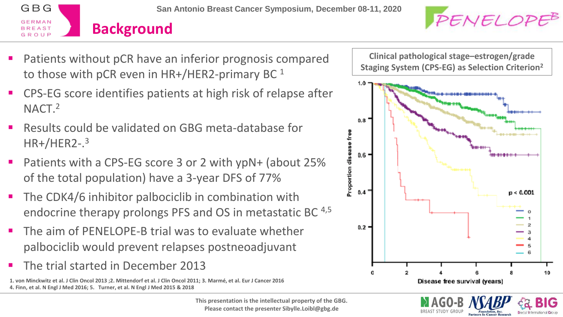



- Patients without pCR have an inferior prognosis compared to those with pCR even in  $HR+/HER2$ -primary BC  $<sup>1</sup>$ </sup>
- CPS-EG score identifies patients at high risk of relapse after NACT.<sup>2</sup>
- Results could be validated on GBG meta-database for HR+/HER2-. 3
- Patients with a CPS-EG score 3 or 2 with ypN+ (about 25% of the total population) have a 3-year DFS of 77%
- The CDK4/6 inhibitor palbociclib in combination with endocrine therapy prolongs PFS and OS in metastatic BC 4,5
- The aim of PENELOPE-B trial was to evaluate whether palbociclib would prevent relapses postneoadjuvant
- The trial started in December 2013

**1. von Minckwitz et al. J Clin Oncol 2013 ;2. Mittendorf et al. J Clin Oncol 2011; 3. Marmé, et al. Eur J Cancer 2016 4. Finn, et al. N Engl J Med 2016; 5. Turner, et al. N Engl J Med 2015 & 2018**

> **This presentation is the intellectual property of the GBG. Please contact the presenter Sibylle.Loibl@gbg.de**

**Clinical pathological stage–estrogen/grade Staging System (CPS-EG) as Selection Criterion<sup>2</sup>**



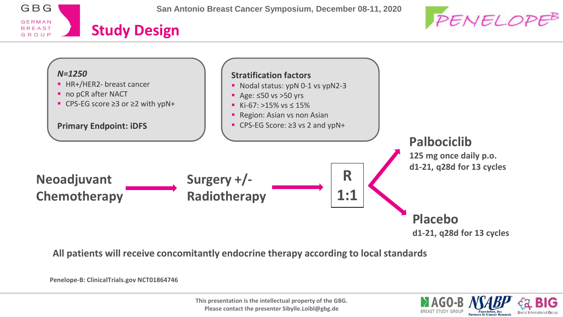





**All patients will receive concomitantly endocrine therapy according to local standards**

**Penelope-B: ClinicalTrials.gov NCT01864746**

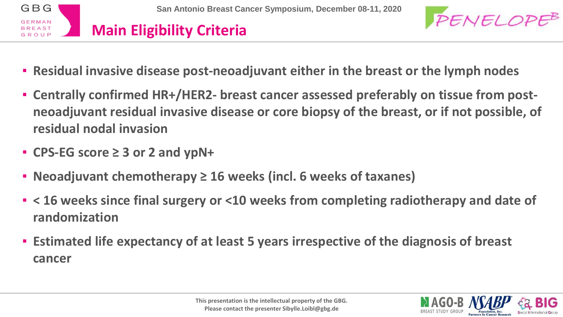



- **Residual invasive disease post-neoadjuvant either in the breast or the lymph nodes**
- **Centrally confirmed HR+/HER2- breast cancer assessed preferably on tissue from postneoadjuvant residual invasive disease or core biopsy of the breast, or if not possible, of residual nodal invasion**
- **CPS-EG score ≥ 3 or 2 and ypN+**
- **Neoadjuvant chemotherapy ≥ 16 weeks (incl. 6 weeks of taxanes)**
- **< 16 weeks since final surgery or <10 weeks from completing radiotherapy and date of randomization**
- **Estimated life expectancy of at least 5 years irrespective of the diagnosis of breast cancer**

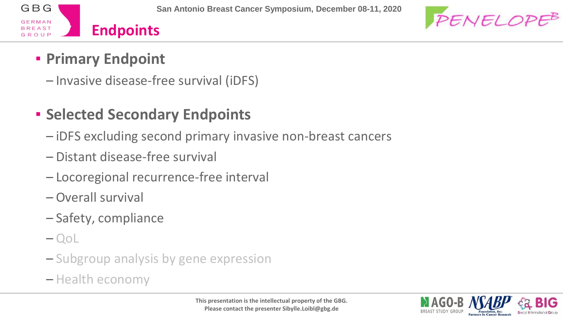



#### ▪ **Primary Endpoint**

– Invasive disease-free survival (iDFS)

#### ▪ **Selected Secondary Endpoints**

- iDFS excluding second primary invasive non-breast cancers
- Distant disease-free survival
- Locoregional recurrence-free interval
- Overall survival
- Safety, compliance
- QoL
- Subgroup analysis by gene expression
- Health economy

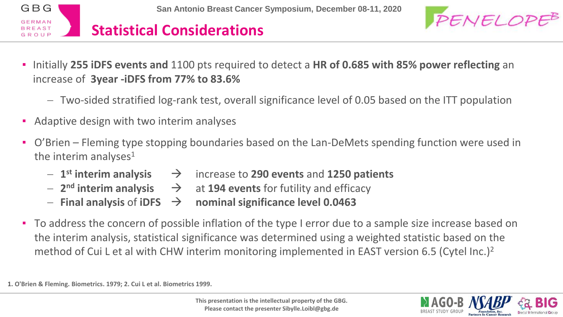



- Initially **255 iDFS events and** 1100 pts required to detect a **HR of 0.685 with 85% power reflecting** an increase of **3year -iDFS from 77% to 83.6%**
	- Two-sided stratified log-rank test, overall significance level of 0.05 based on the ITT population
- Adaptive design with two interim analyses
- O'Brien Fleming type stopping boundaries based on the Lan-DeMets spending function were used in the interim analyses<sup>1</sup>
	- 1<sup>st</sup> interim analysis  $\rightarrow$  **increase to 290 events and 1250 patients**
	- 2<sup>nd</sup> interim analysis  $\rightarrow$  at 194 events for futility and efficacy
	- $\overline{a}$  Final analysis of iDFS  $\rightarrow$  nominal significance level 0.0463
- To address the concern of possible inflation of the type I error due to a sample size increase based on the interim analysis, statistical significance was determined using a weighted statistic based on the method of Cui L et al with CHW interim monitoring implemented in EAST version 6.5 (Cytel Inc.)<sup>2</sup>

**1. O'Brien & Fleming. Biometrics. 1979; 2. Cui L et al. Biometrics 1999.** 

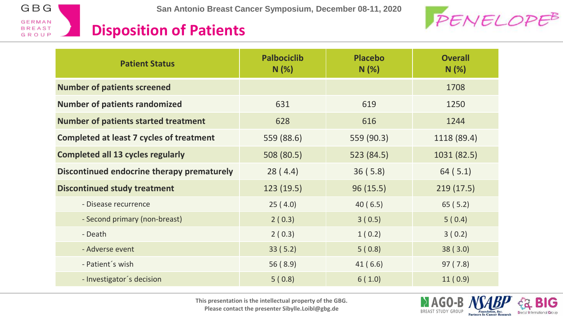



#### **Disposition of Patients**

| <b>Patient Status</b>                           | <b>Palbociclib</b><br>N(%) | <b>Placebo</b><br>N(%) | <b>Overall</b><br>N(%) |
|-------------------------------------------------|----------------------------|------------------------|------------------------|
| <b>Number of patients screened</b>              |                            |                        | 1708                   |
| <b>Number of patients randomized</b>            | 631                        | 619                    | 1250                   |
| <b>Number of patients started treatment</b>     | 628                        | 616                    | 1244                   |
| <b>Completed at least 7 cycles of treatment</b> | 559 (88.6)                 | 559 (90.3)             | 1118 (89.4)            |
| <b>Completed all 13 cycles regularly</b>        | 508 (80.5)                 | 523 (84.5)             | 1031 (82.5)            |
| Discontinued endocrine therapy prematurely      | 28(4.4)                    | 36(5.8)                | 64(5.1)                |
| <b>Discontinued study treatment</b>             | 123(19.5)                  | 96(15.5)               | 219(17.5)              |
| - Disease recurrence                            | 25(4.0)                    | 40(6.5)                | 65(5.2)                |
| - Second primary (non-breast)                   | 2(0.3)                     | 3(0.5)                 | 5(0.4)                 |
| - Death                                         | 2(0.3)                     | 1(0.2)                 | 3(0.2)                 |
| - Adverse event                                 | 33(5.2)                    | 5(0.8)                 | 38(3.0)                |
| - Patient's wish                                | 56(8.9)                    | 41(6.6)                | 97(7.8)                |
| - Investigator's decision                       | 5(0.8)                     | 6(1.0)                 | 11(0.9)                |

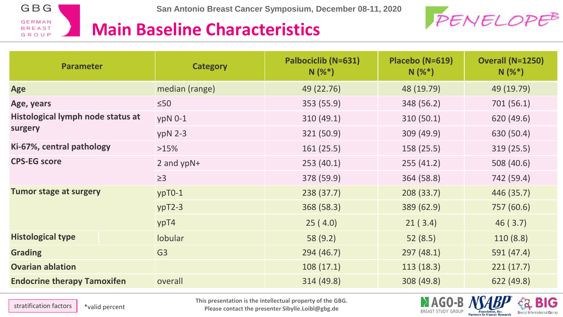

**San Antonio Breast Cancer Symposium, December 08-11, 2020**



#### **Main Baseline Characteristics**

| <b>Parameter</b>                   | <b>Category</b> | Palbociclib (N=631)<br>$N(%^*)$ | Placebo (N=619)<br>$N(%^*)$ | <b>Overall (N=1250)</b><br>$N(%^*)$ |
|------------------------------------|-----------------|---------------------------------|-----------------------------|-------------------------------------|
| Age                                | median (range)  | 49 (22.76)                      | 48 (19.79)                  | 49 (19.79)                          |
| Age, years                         | $\leq 50$       | 353 (55.9)                      | 348 (56.2)                  | 701 (56.1)                          |
| Histological lymph node status at  | $ypN$ 0-1       | 310(49.1)                       | 310(50.1)                   | 620 (49.6)                          |
| surgery                            | $ypN$ 2-3       | 321 (50.9)                      | 309 (49.9)                  | 630 (50.4)                          |
| Ki-67%, central pathology          | >15%            | 161(25.5)                       | 158 (25.5)                  | 319(25.5)                           |
| <b>CPS-EG score</b>                | 2 and $ypN+$    | 253(40.1)                       | 255(41.2)                   | 508 (40.6)                          |
|                                    | $\geq$ 3        | 378 (59.9)                      | 364 (58.8)                  | 742 (59.4)                          |
| <b>Tumor stage at surgery</b>      | $ypT0-1$        | 238(37.7)                       | 208(33.7)                   | 446 (35.7)                          |
|                                    | $ypT2-3$        | 368 (58.3)                      | 389 (62.9)                  | 757 (60.6)                          |
|                                    | ypT4            | 25(4.0)                         | 21(3.4)                     | 46(3.7)                             |
| <b>Histological type</b>           | <b>lobular</b>  | 58 (9.2)                        | 52(8.5)                     | 110(8.8)                            |
| <b>Grading</b>                     | G <sub>3</sub>  | 294 (46.7)                      | 297(48.1)                   | 591 (47.4)                          |
| <b>Ovarian ablation</b>            |                 | 108(17.1)                       | 113(18.3)                   | 221(17.7)                           |
| <b>Endocrine therapy Tamoxifen</b> | overall         | 314 (49.8)                      | 308 (49.8)                  | 622 (49.8)                          |

**This presentation is the intellectual property of the GBG.** 

stratification factors  $\vert$  \*valid percent

**Please contact the presenter Sibylle.Loibl@gbg.de**



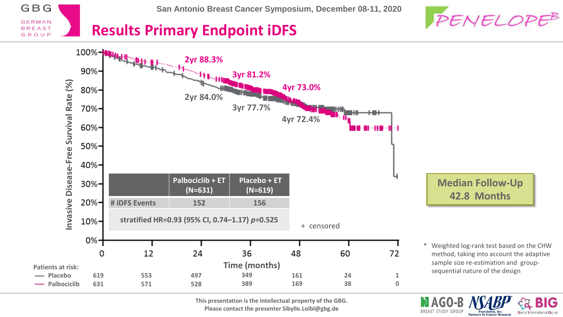



**BREAST STUDY GROUP** 

**Partners In Cancer Research** 

#### **Results Primary Endpoint iDFS**

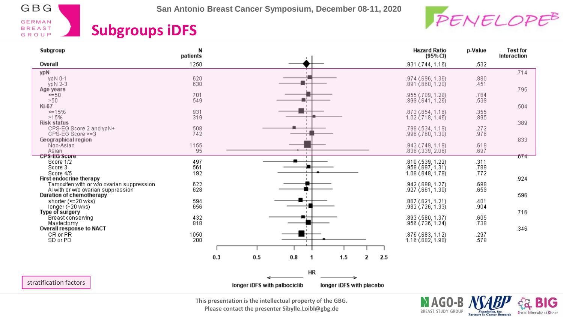

**San Antonio Breast Cancer Symposium, December 08-11, 2020**



**Foundation**, Inc.<br>Partners In Cancer Research

IG

**Breast International Group** 

#### **Subgroups iDFS**

| Subgroup                                                                                                     | N<br>patients      |     |                              |           |                          |   |     | <b>Hazard Ratio</b><br>(95%CI)                              | p-Value              | <b>Test for</b><br>Interaction |
|--------------------------------------------------------------------------------------------------------------|--------------------|-----|------------------------------|-----------|--------------------------|---|-----|-------------------------------------------------------------|----------------------|--------------------------------|
| Overall                                                                                                      | 1250               |     |                              |           |                          |   |     | .931 (.744, 1.16)                                           | .532                 |                                |
| ypN<br>ypN 0-1<br>ypN 2-3<br>Age years                                                                       | 620<br>630         |     |                              |           |                          |   |     | .974 (.696, 1.36)<br>.891 (.660, 1.20)                      | .880<br>.451         | .714<br>.795                   |
| <=50<br>>50<br>Ki-67                                                                                         | 701<br>549         |     |                              |           |                          |   |     | .955 (.709, 1.29)<br>.899 (.641, 1.26)                      | .764<br>.539         | .504                           |
| $\leq 15\%$<br>>15%<br><b>Risk status</b>                                                                    | 931<br>319         |     |                              |           |                          |   |     | .873 (.654, 1.16)<br>$1.02$ $(718, 1.46)$                   | .355<br>.895         | .389                           |
| CPS-EG Score 2 and ypN+<br>CPS-EG Score >=3<br>Geographical region                                           | 508<br>742         |     |                              |           |                          |   |     | .798 (.534, 1.19)<br>.996 (.760, 1.30)                      | .272<br>.976         | .833                           |
| Non-Asian<br>Asian<br><b>CPS-EG Score</b>                                                                    | 1155<br>95         |     |                              |           |                          |   |     | .943 (.749, 1.19)<br>.836 (.339, 2.06)                      | .619<br>.697         | .674                           |
| Score 1/2<br>Score 3<br>Score 4/5<br>First endocrine therapy                                                 | 497<br>561<br>192  |     |                              |           |                          |   |     | .810 (.539, 1.22)<br>.958 (.697, 1.31)<br>1.08(.648, 1.79)  | .311<br>.789<br>.772 | .924                           |
| Tamoxifen with or w/o ovarian suppression.<br>Al with or w/o ovarian suppression<br>Duration of chemotherapy | 622<br>628         |     |                              |           |                          |   |     | .942 (.698, 1.27)<br>.927(.661, 1.30)                       | .698<br>.659         | .596                           |
| shorter (<= 20 wks)<br>longer $(\geq 20 \text{ wks})$<br>Type of surgery                                     | 594<br>656         |     |                              |           |                          |   |     | .867 (.621, 1.21)<br>.982 (.726, 1.33)                      | .401<br>.904         | .716                           |
| Breast conserving<br>Mastectomy<br>Overall response to NACT<br>CR or PR                                      | 432<br>818<br>1050 |     |                              |           |                          |   |     | .893 (.580, 1.37)<br>.956 (.736, 1.24)<br>.876 (.683, 1.12) | .605<br>.738         | .346                           |
| SD or PD                                                                                                     | 200                |     |                              |           |                          |   |     | 1.16(0.682, 1.98)                                           | .297<br>.579         |                                |
|                                                                                                              |                    | 0.3 | 0.5                          | 0.8<br>1  | 1.5                      | 2 | 2.5 |                                                             |                      |                                |
| stratification factors                                                                                       |                    |     | longer iDFS with palbociclib | <b>HR</b> | longer iDFS with placebo |   |     |                                                             |                      |                                |

**This presentation is the intellectual property of the GBG. Please contact the presenter Sibylle.Loibl@gbg.de**

MAGO-B BREAST STUDY GROUP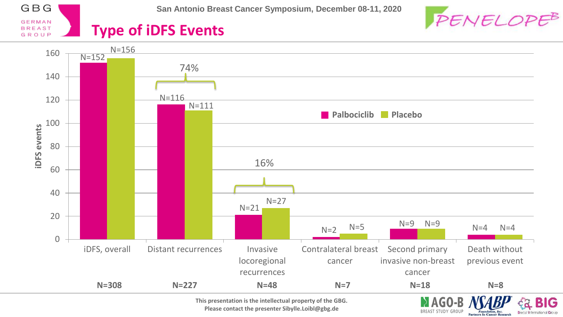

**San Antonio Breast Cancer Symposium, December 08-11, 2020**



#### **Type of iDFS Events**



**This presentation is the intellectual property of the GBG. Please contact the presenter Sibylle.Loibl@gbg.de**

BREAST STUDY GROUP **Partners In Cancer Research** 

**Foundation**, Inc.

**Breast International Group**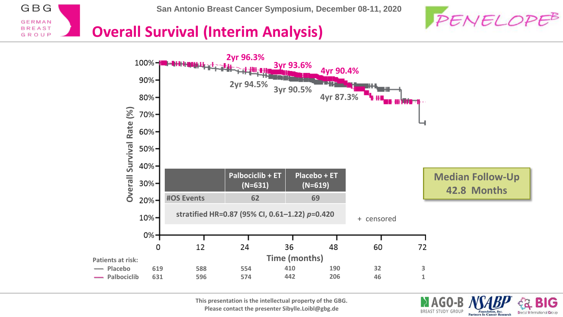



**BREAST STUDY GROUP** 

**Breast International Grou** 

**Partners In Cancer Research** 

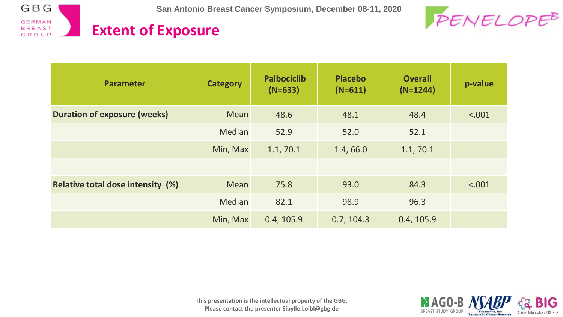



**Foundation**, Inc.<br>Partners In Cancer Research

IG

**Breast International Group** 

#### **Extent of Exposure**

| <b>Parameter</b>                         | <b>Category</b> | <b>Palbociclib</b><br>$(N=633)$ | <b>Placebo</b><br>$(N=611)$ | <b>Overall</b><br>$(N=1244)$ | p-value |
|------------------------------------------|-----------------|---------------------------------|-----------------------------|------------------------------|---------|
| <b>Duration of exposure (weeks)</b>      | Mean            | 48.6                            | 48.1                        | 48.4                         | < .001  |
|                                          | Median          | 52.9                            | 52.0                        | 52.1                         |         |
|                                          | Min, Max        | 1.1, 70.1                       | 1.4,66.0                    | 1.1, 70.1                    |         |
|                                          |                 |                                 |                             |                              |         |
| <b>Relative total dose intensity (%)</b> | Mean            | 75.8                            | 93.0                        | 84.3                         | < .001  |
|                                          | Median          | 82.1                            | 98.9                        | 96.3                         |         |
|                                          | Min, Max        | 0.4, 105.9                      | 0.7, 104.3                  | 0.4, 105.9                   |         |

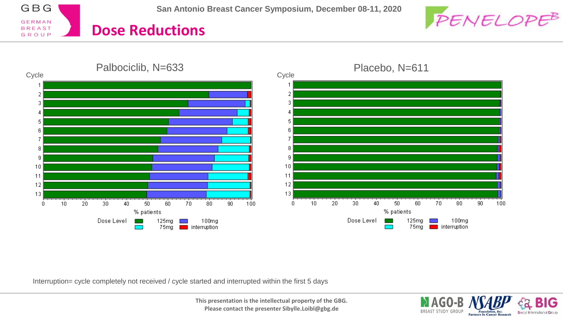GBG **GERMAN Dose Reductions BREAST** GROUP







Interruption= cycle completely not received / cycle started and interrupted within the first 5 days

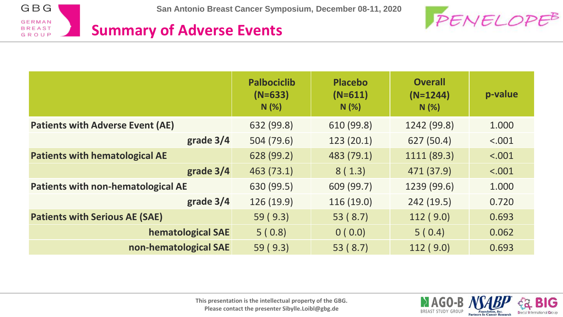



|                                           | <b>Palbociclib</b><br>$(N=633)$<br>N(%) | <b>Placebo</b><br>$(N=611)$<br>N(%) | <b>Overall</b><br>$(N=1244)$<br>N(%) | p-value |
|-------------------------------------------|-----------------------------------------|-------------------------------------|--------------------------------------|---------|
| <b>Patients with Adverse Event (AE)</b>   | 632 (99.8)                              | 610 (99.8)                          | 1242 (99.8)                          | 1.000   |
| grade 3/4                                 | 504 (79.6)                              | 123(20.1)                           | 627 (50.4)                           | < .001  |
| <b>Patients with hematological AE</b>     | 628 (99.2)                              | 483 (79.1)                          | 1111 (89.3)                          | < .001  |
| grade 3/4                                 | 463 (73.1)                              | 8(1.3)                              | 471 (37.9)                           | < .001  |
| <b>Patients with non-hematological AE</b> | 630 (99.5)                              | 609 (99.7)                          | 1239 (99.6)                          | 1.000   |
| grade $3/4$                               | 126 (19.9)                              | 116(19.0)                           | 242(19.5)                            | 0.720   |
| <b>Patients with Serious AE (SAE)</b>     | 59(9.3)                                 | 53(8.7)                             | 112(9.0)                             | 0.693   |
| <b>hematological SAE</b>                  | 5(0.8)                                  | 0(0.0)                              | 5(0.4)                               | 0.062   |
| non-hematological SAE                     | 59(9.3)                                 | 53 (8.7)                            | 112(9.0)                             | 0.693   |

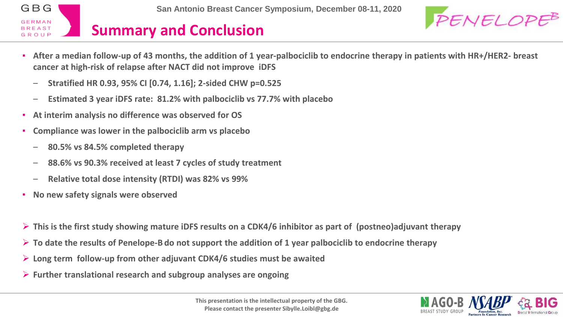



- **After a median follow-up of 43 months, the addition of 1 year-palbociclib to endocrine therapy in patients with HR+/HER2- breast cancer at high-risk of relapse after NACT did not improve iDFS**
	- **Stratified HR 0.93, 95% CI [0.74, 1.16]; 2-sided CHW p=0.525**
	- **Estimated 3 year iDFS rate: 81.2% with palbociclib vs 77.7% with placebo**
- **At interim analysis no difference was observed for OS**
- **Compliance was lower in the palbociclib arm vs placebo**
	- **80.5% vs 84.5% completed therapy**
	- **88.6% vs 90.3% received at least 7 cycles of study treatment**
	- **Relative total dose intensity (RTDI) was 82% vs 99%**
- **No new safety signals were observed**
- **This is the first study showing mature iDFS results on a CDK4/6 inhibitor as part of (postneo)adjuvant therapy**
- **To date the results of Penelope-B do not support the addition of 1 year palbociclib to endocrine therapy**
- **Long term follow-up from other adjuvant CDK4/6 studies must be awaited**
- **Further translational research and subgroup analyses are ongoing**

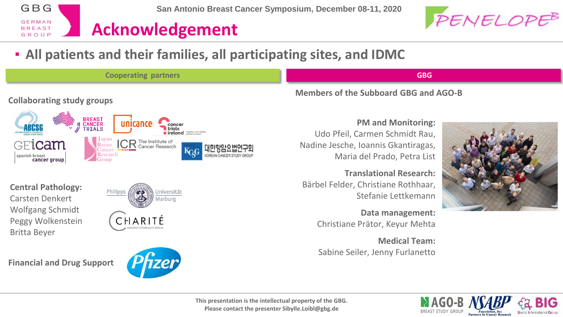

#### ▪ **All patients and their families, all participating sites, and IDMC**



PENELOPE<sup>B</sup>